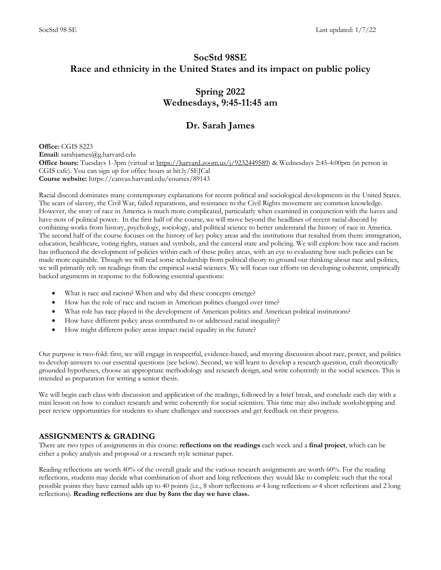# **SocStd 98SE Race and ethnicity in the United States and its impact on public policy**

# **Spring 2022 Wednesdays, 9:45-11:45 am**

# **Dr. Sarah James**

**Office: CGIS S223 Email:** sarahjames@g.harvard.edu Office hours: Tuesdays 1-3pm (virtual at https://harvard.zoom.us/j/9232449589) & Wednesdays 2:45-4:00pm (in person in CGIS cafe). You can sign up for office hours at bit.ly/SEJCal **Course website:** https://canvas.harvard.edu/courses/89143

Racial discord dominates many contemporary explanations for recent political and sociological developments in the United States. The scars of slavery, the Civil War, failed reparations, and resistance to the Civil Rights movement are common knowledge. However, the story of race in America is much more complicated, particularly when examined in conjunction with the haves and have-nots of political power. In the first half of the course, we will move beyond the headlines of recent racial discord by combining works from history, psychology, sociology, and political science to better understand the history of race in America. The second half of the course focuses on the history of key policy areas and the institutions that resulted from them: immigration, education, healthcare, voting rights, statues and symbols, and the carceral state and policing. We will explore how race and racism has influenced the development of policies within each of these policy areas, with an eye to evaluating how such policies can be made more equitable. Though we will read some scholarship from political theory to ground our thinking about race and politics, we will primarily rely on readings from the empirical social sciences. We will focus our efforts on developing coherent, empirically backed arguments in response to the following essential questions:

- What is race and racism? When and why did these concepts emerge?
- How has the role of race and racism in American politics changed over time?
- What role has race played in the development of American politics and American political institutions?
- How have different policy areas contributed to or addressed racial inequality?
- How might different policy areas impact racial equality in the future?

Our purpose is two-fold: first, we will engage in respectful, evidence-based, and moving discussion about race, power, and politics to develop answers to our essential questions (see below). Second, we will learn to develop a research question, craft theoretically grounded hypotheses, choose an appropriate methodology and research design, and write coherently in the social sciences. This is intended as preparation for writing a senior thesis.

We will begin each class with discussion and application of the readings, followed by a brief break, and conclude each day with a mini lesson on how to conduct research and write coherently for social scientists. This time may also include workshopping and peer review opportunities for students to share challenges and successes and get feedback on their progress.

# **ASSIGNMENTS & GRADING**

There are two types of assignments in this course: **reflections on the readings** each week and a **final project**, which can be either a policy analysis and proposal or a research style seminar paper.

Reading reflections are worth 40% of the overall grade and the various research assignments are worth 60%. For the reading reflections, students may decide what combination of short and long reflections they would like to complete such that the total possible points they have earned adds up to 40 points (i.e., 8 short reflections *or* 4 long reflections *or* 4 short reflections and 2 long reflections). **Reading reflections are due by 8am the day we have class.**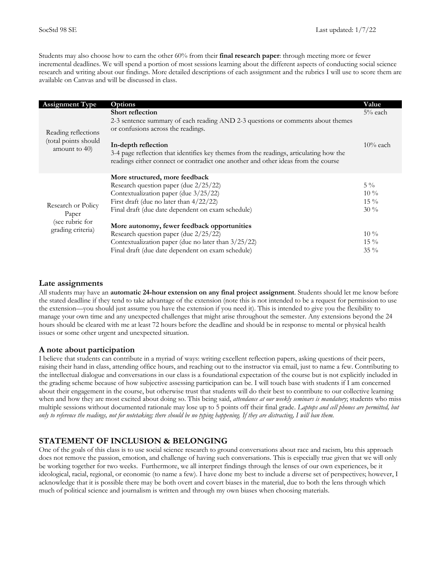Students may also choose how to earn the other 60% from their **final research paper**: through meeting more or fewer incremental deadlines. We will spend a portion of most sessions learning about the different aspects of conducting social science research and writing about our findings. More detailed descriptions of each assignment and the rubrics I will use to score them are available on Canvas and will be discussed in class.

| <b>Assignment Type</b>                                       | Options                                                                                                                                                                                                             | Value                               |
|--------------------------------------------------------------|---------------------------------------------------------------------------------------------------------------------------------------------------------------------------------------------------------------------|-------------------------------------|
| Reading reflections<br>(total points should<br>amount to 40) | <b>Short reflection</b><br>2-3 sentence summary of each reading AND 2-3 questions or comments about themes<br>or confusions across the readings.                                                                    | $5%$ each                           |
|                                                              | In-depth reflection<br>3-4 page reflection that identifies key themes from the readings, articulating how the<br>readings either connect or contradict one another and other ideas from the course                  | $10\%$ each                         |
| Research or Policy<br>Paper                                  | More structured, more feedback<br>Research question paper (due 2/25/22)<br>Contextualization paper (due 3/25/22)<br>First draft (due no later than $4/22/22$ )<br>Final draft (due date dependent on exam schedule) | $5\%$<br>$10\%$<br>$15\%$<br>$30\%$ |
| (see rubric for<br>grading criteria)                         | More autonomy, fewer feedback opportunities<br>Research question paper (due 2/25/22)<br>Contextualization paper (due no later than $3/25/22$ )<br>Final draft (due date dependent on exam schedule)                 | $10\%$<br>$15\%$<br>$35\%$          |

# **Late assignments**

All students may have an **automatic 24-hour extension on any final project assignment**. Students should let me know before the stated deadline if they tend to take advantage of the extension (note this is not intended to be a request for permission to use the extension—you should just assume you have the extension if you need it). This is intended to give you the flexibility to manage your own time and any unexpected challenges that might arise throughout the semester. Any extensions beyond the 24 hours should be cleared with me at least 72 hours before the deadline and should be in response to mental or physical health issues or some other urgent and unexpected situation.

# **A note about participation**

I believe that students can contribute in a myriad of ways: writing excellent reflection papers, asking questions of their peers, raising their hand in class, attending office hours, and reaching out to the instructor via email, just to name a few. Contributing to the intellectual dialogue and conversations in our class is a foundational expectation of the course but is not explicitly included in the grading scheme because of how subjective assessing participation can be. I will touch base with students if I am concerned about their engagement in the course, but otherwise trust that students will do their best to contribute to our collective learning when and how they are most excited about doing so. This being said, *attendance at our weekly seminars is mandatory*; students who miss multiple sessions without documented rationale may lose up to 5 points off their final grade. *Laptops and cell phones are permitted, but only to reference the readings, not for notetaking; there should be no typing happening. If they are distracting, I will ban them.*

# **STATEMENT OF INCLUSION & BELONGING**

One of the goals of this class is to use social science research to ground conversations about race and racism, btu this approach does not remove the passion, emotion, and challenge of having such conversations. This is especially true given that we will only be working together for two weeks. Furthermore, we all interpret findings through the lenses of our own experiences, be it ideological, racial, regional, or economic (to name a few). I have done my best to include a diverse set of perspectives; however, I acknowledge that it is possible there may be both overt and covert biases in the material, due to both the lens through which much of political science and journalism is written and through my own biases when choosing materials.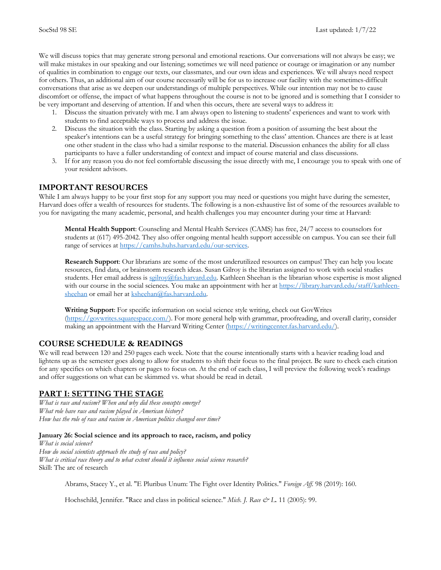We will discuss topics that may generate strong personal and emotional reactions. Our conversations will not always be easy; we will make mistakes in our speaking and our listening; sometimes we will need patience or courage or imagination or any number of qualities in combination to engage our texts, our classmates, and our own ideas and experiences. We will always need respect for others. Thus, an additional aim of our course necessarily will be for us to increase our facility with the sometimes-difficult conversations that arise as we deepen our understandings of multiple perspectives. While our intention may not be to cause discomfort or offense, the impact of what happens throughout the course is not to be ignored and is something that I consider to be very important and deserving of attention. If and when this occurs, there are several ways to address it:

- 1. Discuss the situation privately with me. I am always open to listening to students' experiences and want to work with students to find acceptable ways to process and address the issue.
- 2. Discuss the situation with the class. Starting by asking a question from a position of assuming the best about the speaker's intentions can be a useful strategy for bringing something to the class' attention. Chances are there is at least one other student in the class who had a similar response to the material. Discussion enhances the ability for all class participants to have a fuller understanding of context and impact of course material and class discussions.
- 3. If for any reason you do not feel comfortable discussing the issue directly with me, I encourage you to speak with one of your resident advisors.

# **IMPORTANT RESOURCES**

While I am always happy to be your first stop for any support you may need or questions you might have during the semester, Harvard does offer a wealth of resources for students. The following is a non-exhaustive list of some of the resources available to you for navigating the many academic, personal, and health challenges you may encounter during your time at Harvard:

**Mental Health Support**: Counseling and Mental Health Services (CAMS) has free, 24/7 access to counselors for students at (617) 495-2042. They also offer ongoing mental health support accessible on campus. You can see their full range of services at https://camhs.huhs.harvard.edu/our-services.

**Research Support**: Our librarians are some of the most underutilized resources on campus! They can help you locate resources, find data, or brainstorm research ideas. Susan Gilroy is the librarian assigned to work with social studies students. Her email address is seilroy@fas.harvard.edu. Kathleen Sheehan is the librarian whose expertise is most aligned with our course in the social sciences. You make an appointment with her at https://library.harvard.edu/staff/kathleensheehan or email her at ksheehan@fas.harvard.edu.

**Writing Support**: For specific information on social science style writing, check out GovWrites (https://govwrites.squarespace.com/). For more general help with grammar, proofreading, and overall clarity, consider making an appointment with the Harvard Writing Center (https://writingcenter.fas.harvard.edu/).

# **COURSE SCHEDULE & READINGS**

We will read between 120 and 250 pages each week. Note that the course intentionally starts with a heavier reading load and lightens up as the semester goes along to allow for students to shift their focus to the final project. Be sure to check each citation for any specifics on which chapters or pages to focus on. At the end of each class, I will preview the following week's readings and offer suggestions on what can be skimmed vs. what should be read in detail.

# **PART I: SETTING THE STAGE**

*What is race and racism? When and why did these concepts emerge? What role have race and racism played in American history? How has the role of race and racism in American politics changed over time?*

## **January 26: Social science and its approach to race, racism, and policy**

*What is social science? How do social scientists approach the study of race and policy? What is critical race theory and to what extent should it influence social science research?* Skill: The arc of research

Abrams, Stacey Y., et al. "E Pluribus Unum: The Fight over Identity Politics." *Foreign Aff.* 98 (2019): 160.

Hochschild, Jennifer. "Race and class in political science." *Mich. J. Race & L.* 11 (2005): 99.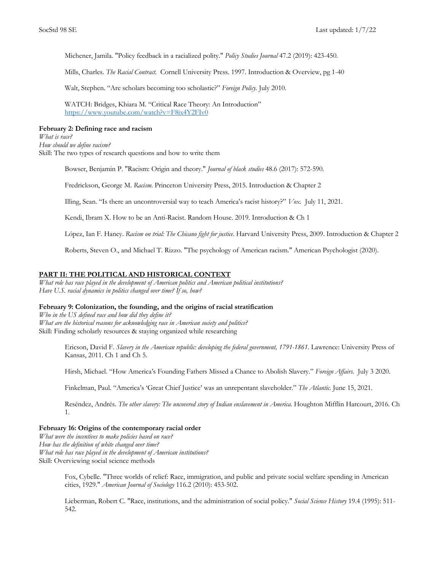Michener, Jamila. "Policy feedback in a racialized polity." *Policy Studies Journal* 47.2 (2019): 423-450.

Mills, Charles. *The Racial Contract.* Cornell University Press. 1997. Introduction & Overview, pg 1-40

Walt, Stephen. "Are scholars becoming too scholastic?" *Foreign Policy.* July 2010.

WATCH: Bridges, Khiara M. "Critical Race Theory: An Introduction" https://www.youtube.com/watch?v=F8ix4Y2FIv0

### **February 2: Defining race and racism**

*What is race? How should we define racism?* Skill: The two types of research questions and how to write them

Bowser, Benjamin P. "Racism: Origin and theory." *Journal of black studies* 48.6 (2017): 572-590.

Fredrickson, George M. *Racism*. Princeton University Press, 2015. Introduction & Chapter 2

Illing, Sean. "Is there an uncontroversial way to teach America's racist history?" *Vox.* July 11, 2021.

Kendi, Ibram X. How to be an Anti-Racist. Random House. 2019. Introduction & Ch 1

López, Ian F. Haney. *Racism on trial: The Chicano fight for justice*. Harvard University Press, 2009. Introduction & Chapter 2

Roberts, Steven O., and Michael T. Rizzo. "The psychology of American racism." American Psychologist (2020).

## **PART II: THE POLITICAL AND HISTORICAL CONTEXT**

*What role has race played in the development of American politics and American political institutions? Have U.S. racial dynamics in politics changed over time? If so, how?*

#### **February 9: Colonization, the founding, and the origins of racial stratification**

*Who in the US defined race and how did they define it? What are the historical reasons for acknowledging race in American society and politics?* Skill: Finding scholarly resources & staying organized while researching

> Ericson, David F. *Slavery in the American republic: developing the federal government, 1791-1861*. Lawrence: University Press of Kansas, 2011. Ch 1 and Ch 5.

Hirsh, Michael. "How America's Founding Fathers Missed a Chance to Abolish Slavery." *Foreign Affairs.* July 3 2020.

Finkelman, Paul. "America's 'Great Chief Justice' was an unrepentant slaveholder." *The Atlantic.* June 15, 2021.

Reséndez, Andrés. *The other slavery: The uncovered story of Indian enslavement in America*. Houghton Mifflin Harcourt, 2016. Ch 1.

# **February 16: Origins of the contemporary racial order**

*What were the incentives to make policies based on race? How has the definition of white changed over time? What role has race played in the development of American institutions?* Skill: Overviewing social science methods

> Fox, Cybelle. "Three worlds of relief: Race, immigration, and public and private social welfare spending in American cities, 1929." *American Journal of Sociology* 116.2 (2010): 453-502.

Lieberman, Robert C. "Race, institutions, and the administration of social policy." *Social Science History* 19.4 (1995): 511- 542.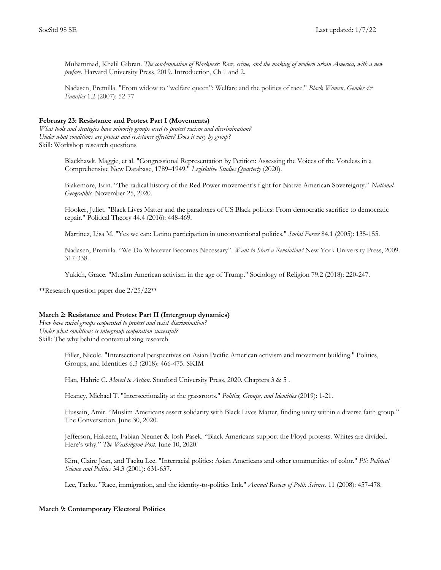Muhammad, Khalil Gibran. *The condemnation of Blackness: Race, crime, and the making of modern urban America, with a new preface*. Harvard University Press, 2019. Introduction, Ch 1 and 2.

Nadasen, Premilla. "From widow to "welfare queen": Welfare and the politics of race." *Black Women, Gender & Families* 1.2 (2007): 52-77

## **February 23: Resistance and Protest Part I (Movements)**

*What tools and strategies have minority groups used to protest racism and discrimination? Under what conditions are protest and resistance effective? Does it vary by group?* Skill: Workshop research questions

> Blackhawk, Maggie, et al. "Congressional Representation by Petition: Assessing the Voices of the Voteless in a Comprehensive New Database, 1789–1949." *Legislative Studies Quarterly* (2020).

Blakemore, Erin. "The radical history of the Red Power movement's fight for Native American Sovereignty." *National Geographic.* November 25, 2020.

Hooker, Juliet. "Black Lives Matter and the paradoxes of US Black politics: From democratic sacrifice to democratic repair." Political Theory 44.4 (2016): 448-469.

Martinez, Lisa M. "Yes we can: Latino participation in unconventional politics." *Social Forces* 84.1 (2005): 135-155.

Nadasen, Premilla. "We Do Whatever Becomes Necessary". *Want to Start a Revolution?* New York University Press, 2009. 317-338.

Yukich, Grace. "Muslim American activism in the age of Trump." Sociology of Religion 79.2 (2018): 220-247.

\*\*Research question paper due 2/25/22\*\*

#### **March 2: Resistance and Protest Part II (Intergroup dynamics)**

*How have racial groups cooperated to protest and resist discrimination? Under what conditions is intergroup cooperation successful?* Skill: The why behind contextualizing research

> Filler, Nicole. "Intersectional perspectives on Asian Pacific American activism and movement building." Politics, Groups, and Identities 6.3 (2018): 466-475. SKIM

Han, Hahrie C. *Moved to Action*. Stanford University Press, 2020. Chapters 3 & 5 .

Heaney, Michael T. "Intersectionality at the grassroots." *Politics, Groups, and Identities* (2019): 1-21.

Hussain, Amir. "Muslim Americans assert solidarity with Black Lives Matter, finding unity within a diverse faith group." The Conversation. June 30, 2020.

Jefferson, Hakeem, Fabian Neuner & Josh Pasek. "Black Americans support the Floyd protests. Whites are divided. Here's why." *The Washington Post.* June 10, 2020.

Kim, Claire Jean, and Taeku Lee. "Interracial politics: Asian Americans and other communities of color." *PS: Political Science and Politics* 34.3 (2001): 631-637.

Lee, Taeku. "Race, immigration, and the identity-to-politics link." *Annual Review of Polit. Science.* 11 (2008): 457-478.

#### **March 9: Contemporary Electoral Politics**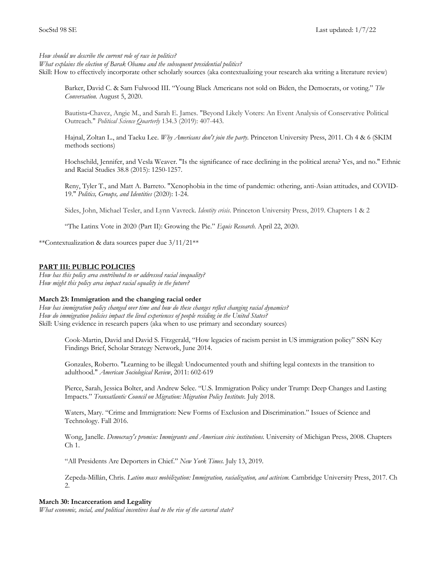*How should we describe the current role of race in politics?* 

*What explains the election of Barak Obama and the subsequent presidential politics?*

Skill: How to effectively incorporate other scholarly sources (aka contextualizing your research aka writing a literature review)

Barker, David C. & Sam Fulwood III. "Young Black Americans not sold on Biden, the Democrats, or voting." *The Conversation.* August 5, 2020.

Bautista-Chavez, Angie M., and Sarah E. James. "Beyond Likely Voters: An Event Analysis of Conservative Political Outreach." *Political Science Quarterly* 134.3 (2019): 407-443.

Hajnal, Zoltan L., and Taeku Lee. *Why Americans don't join the party*. Princeton University Press, 2011. Ch 4 & 6 (SKIM methods sections)

Hochschild, Jennifer, and Vesla Weaver. "Is the significance of race declining in the political arena? Yes, and no." Ethnic and Racial Studies 38.8 (2015): 1250-1257.

Reny, Tyler T., and Matt A. Barreto. "Xenophobia in the time of pandemic: othering, anti-Asian attitudes, and COVID-19." *Politics, Groups, and Identities* (2020): 1-24.

Sides, John, Michael Tesler, and Lynn Vavreck. *Identity crisis*. Princeton University Press, 2019. Chapters 1 & 2

"The Latinx Vote in 2020 (Part II): Growing the Pie." *Equis Research.* April 22, 2020.

\*\*Contextualization & data sources paper due 3/11/21\*\*

## **PART III: PUBLIC POLICIES**

*How has this policy area contributed to or addressed racial inequality? How might this policy area impact racial equality in the future?*

#### **March 23: Immigration and the changing racial order**

*How has immigration policy changed over time and how do these changes reflect changing racial dynamics? How do immigration policies impact the lived experiences of people residing in the United States?* Skill: Using evidence in research papers (aka when to use primary and secondary sources)

> Cook-Martin, David and David S. Fitzgerald, "How legacies of racism persist in US immigration policy" SSN Key Findings Brief, Scholar Strategy Network, June 2014.

Gonzales, Roberto. "Learning to be illegal: Undocumented youth and shifting legal contexts in the transition to adulthood." *American Sociological Review*, 2011: 602-619

Pierce, Sarah, Jessica Bolter, and Andrew Selee. "U.S. Immigration Policy under Trump: Deep Changes and Lasting Impacts." *Transatlantic Council on Migration: Migration Policy Institute.* July 2018.

Waters, Mary. "Crime and Immigration: New Forms of Exclusion and Discrimination." Issues of Science and Technology. Fall 2016.

Wong, Janelle. *Democracy's promise: Immigrants and American civic institutions*. University of Michigan Press, 2008. Chapters Ch 1.

"All Presidents Are Deporters in Chief." *New York Times.* July 13, 2019.

Zepeda-Millán, Chris. *Latino mass mobilization: Immigration, racialization, and activism*. Cambridge University Press, 2017. Ch 2.

#### **March 30: Incarceration and Legality**

*What economic, social, and political incentives lead to the rise of the carceral state?*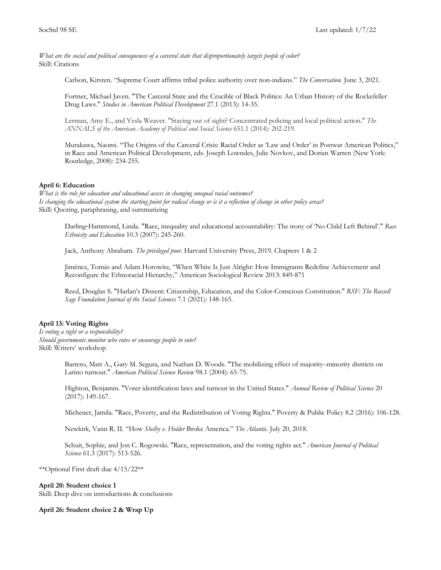*What are the social and political consequences of a carceral state that disproportionately targets people of color?* Skill: Citations

Carlson, Kirsten. "Supreme Court affirms tribal police authority over non-indians." *The Conversation.* June 3, 2021.

Fortner, Michael Javen. "The Carceral State and the Crucible of Black Politics: An Urban History of the Rockefeller Drug Laws." *Studies in American Political Development* 27.1 (2013): 14-35.

Lerman, Amy E., and Vesla Weaver. "Staying out of sight? Concentrated policing and local political action." *The ANNALS of the American Academy of Political and Social Science* 651.1 (2014): 202-219.

Murakawa, Naomi. "The Origins of the Carceral Crisis: Racial Order as 'Law and Order' in Postwar American Politics," in Race and American Political Development, eds. Joseph Lowndes, Julie Novkov, and Dorian Warren (New York: Routledge, 2008): 234-255.

## **April 6: Education**

*What is the role for education and educational access in changing unequal racial outcomes? Is changing the educational system the starting point for radical change or is it a reflection of change in other policy areas?* Skill: Quoting, paraphrasing, and summarizing

Darling-Hammond, Linda. "Race, inequality and educational accountability: The irony of 'No Child Left Behind'." *Race Ethnicity and Education* 10.3 (2007): 245-260.

Jack, Anthony Abraham. *The privileged poor*. Harvard University Press, 2019. Chapters 1 & 2

Jiménez, Tomás and Adam Horowitz, "When White Is Just Alright: How Immigrants Redefine Achievement and Reconfigure the Ethnoracial Hierarchy," American Sociological Review 2013: 849-871

Reed, Douglas S. "Harlan's Dissent: Citizenship, Education, and the Color-Conscious Constitution." *RSF: The Russell Sage Foundation Journal of the Social Sciences* 7.1 (2021): 148-165.

## **April 13: Voting Rights**

*Is voting a right or a responsibility? Should governments monitor who votes or encourage people to vote?* Skill: Writers' workshop

> Barreto, Matt A., Gary M. Segura, and Nathan D. Woods. "The mobilizing effect of majority–minority districts on Latino turnout." *American Political Science Review* 98.1 (2004): 65-75.

> Highton, Benjamin. "Voter identification laws and turnout in the United States." *Annual Review of Political Science* 20 (2017): 149-167.

Michener, Jamila. "Race, Poverty, and the Redistribution of Voting Rights." Poverty & Public Policy 8.2 (2016): 106-128.

Newkirk, Vann R. II. "How *Shelby v. Holder* Broke America." *The Atlantic.* July 20, 2018.

Schuit, Sophie, and Jon C. Rogowski. "Race, representation, and the voting rights act." *American Journal of Political Science* 61.3 (2017): 513-526.

\*\*Optional First draft due 4/15/22\*\*

#### **April 20: Student choice 1**

Skill: Deep dive on introductions & conclusions

**April 26: Student choice 2 & Wrap Up**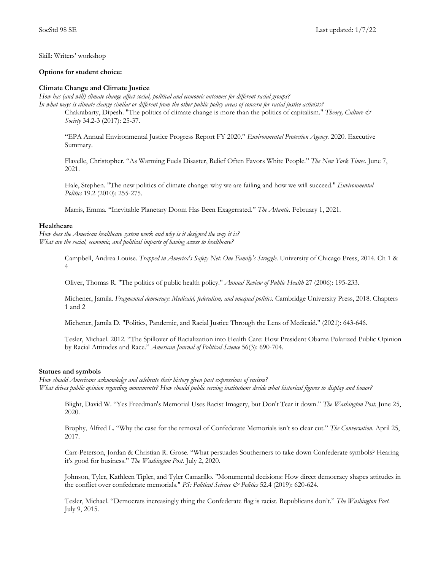Skill: Writers' workshop

### **Options for student choice:**

### **Climate Change and Climate Justice**

*How has (and will) climate change affect social, political and economic outcomes for different racial groups? In what ways is climate change similar or different from the other public policy areas of concern for racial justice activists?* Chakrabarty, Dipesh. "The politics of climate change is more than the politics of capitalism." *Theory, Culture &* 

*Society* 34.2-3 (2017): 25-37.

"EPA Annual Environmental Justice Progress Report FY 2020." *Environmental Protection Agency.* 2020. Executive Summary.

Flavelle, Christopher. "As Warming Fuels Disaster, Relief Often Favors White People." *The New York Times.* June 7, 2021.

Hale, Stephen. "The new politics of climate change: why we are failing and how we will succeed." *Environmental Politics* 19.2 (2010): 255-275.

Marris, Emma. "Inevitable Planetary Doom Has Been Exagerrated." *The Atlantic.* February 1, 2021.

## **Healthcare**

*How does the American healthcare system work and why is it designed the way it is? What are the social, economic, and political impacts of having access to healthcare?*

> Campbell, Andrea Louise. *Trapped in America's Safety Net: One Family's Struggle*. University of Chicago Press, 2014. Ch 1 & 4

Oliver, Thomas R. "The politics of public health policy." *Annual Review of Public Health* 27 (2006): 195-233.

Michener, Jamila. *Fragmented democracy: Medicaid, federalism, and unequal politics*. Cambridge University Press, 2018. Chapters 1 and 2

Michener, Jamila D. "Politics, Pandemic, and Racial Justice Through the Lens of Medicaid." (2021): 643-646.

Tesler, Michael. 2012. "The Spillover of Racialization into Health Care: How President Obama Polarized Public Opinion by Racial Attitudes and Race." *American Journal of Political Science* 56(3): 690-704.

#### **Statues and symbols**

*How should Americans acknowledge and celebrate their history given past expressions of racism? What drives public opinion regarding monuments? How should public serving institutions decide what historical figures to display and honor?*

Blight, David W. "Yes Freedman's Memorial Uses Racist Imagery, but Don't Tear it down." *The Washington Post.* June 25, 2020.

Brophy, Alfred L. "Why the case for the removal of Confederate Memorials isn't so clear cut." *The Conversation*. April 25, 2017.

Carr-Peterson, Jordan & Christian R. Grose. "What persuades Southerners to take down Confederate symbols? Hearing it's good for business." *The Washington Post.* July 2, 2020.

Johnson, Tyler, Kathleen Tipler, and Tyler Camarillo. "Monumental decisions: How direct democracy shapes attitudes in the conflict over confederate memorials." *PS: Political Science & Politics* 52.4 (2019): 620-624.

Tesler, Michael. "Democrats increasingly thing the Confederate flag is racist. Republicans don't." *The Washington Post.*  July 9, 2015.